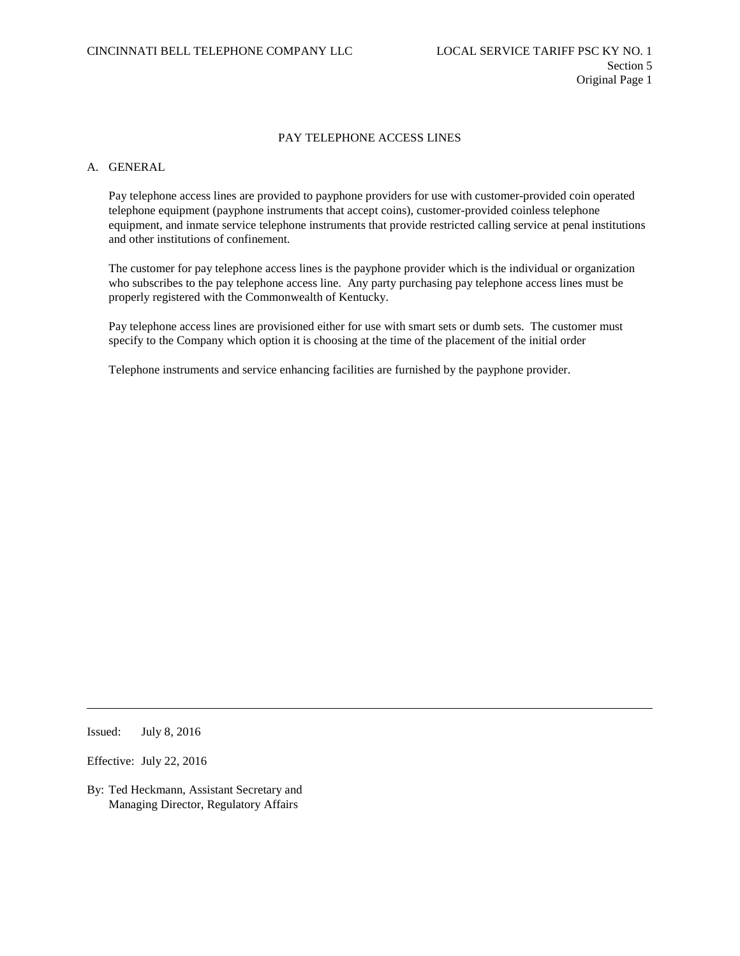# A. GENERAL

Pay telephone access lines are provided to payphone providers for use with customer-provided coin operated telephone equipment (payphone instruments that accept coins), customer-provided coinless telephone equipment, and inmate service telephone instruments that provide restricted calling service at penal institutions and other institutions of confinement.

The customer for pay telephone access lines is the payphone provider which is the individual or organization who subscribes to the pay telephone access line. Any party purchasing pay telephone access lines must be properly registered with the Commonwealth of Kentucky.

Pay telephone access lines are provisioned either for use with smart sets or dumb sets. The customer must specify to the Company which option it is choosing at the time of the placement of the initial order

Telephone instruments and service enhancing facilities are furnished by the payphone provider.

Issued: July 8, 2016

Effective: July 22, 2016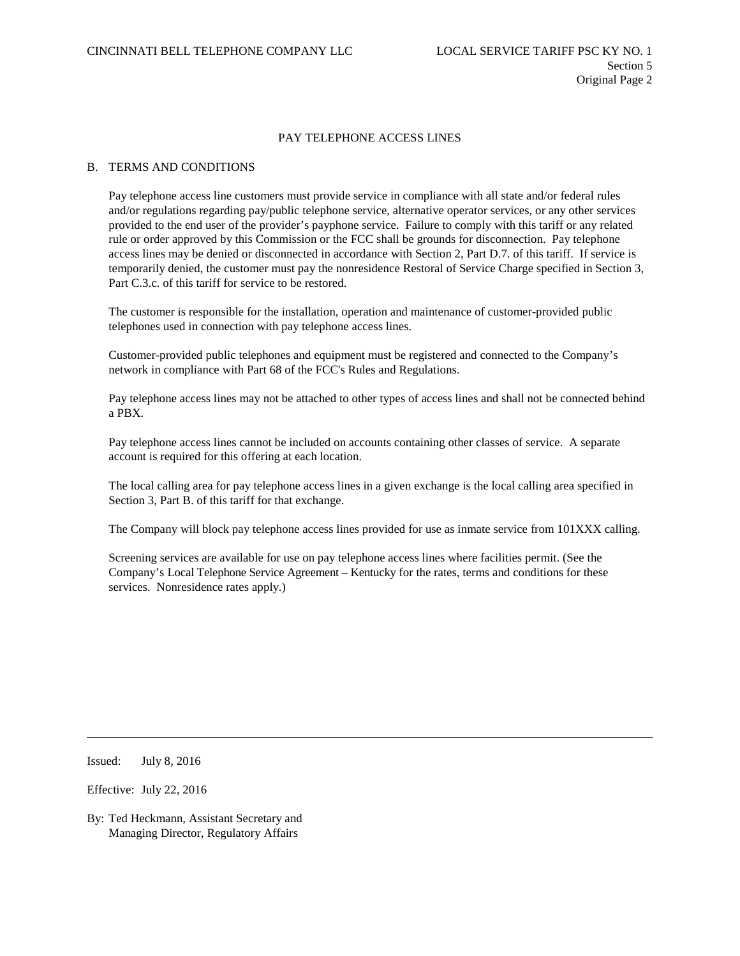### B. TERMS AND CONDITIONS

Pay telephone access line customers must provide service in compliance with all state and/or federal rules and/or regulations regarding pay/public telephone service, alternative operator services, or any other services provided to the end user of the provider's payphone service. Failure to comply with this tariff or any related rule or order approved by this Commission or the FCC shall be grounds for disconnection. Pay telephone access lines may be denied or disconnected in accordance with Section 2, Part D.7. of this tariff. If service is temporarily denied, the customer must pay the nonresidence Restoral of Service Charge specified in Section 3, Part C.3.c. of this tariff for service to be restored.

The customer is responsible for the installation, operation and maintenance of customer-provided public telephones used in connection with pay telephone access lines.

Customer-provided public telephones and equipment must be registered and connected to the Company's network in compliance with Part 68 of the FCC's Rules and Regulations.

Pay telephone access lines may not be attached to other types of access lines and shall not be connected behind a PBX.

Pay telephone access lines cannot be included on accounts containing other classes of service. A separate account is required for this offering at each location.

The local calling area for pay telephone access lines in a given exchange is the local calling area specified in Section 3, Part B. of this tariff for that exchange.

The Company will block pay telephone access lines provided for use as inmate service from 101XXX calling.

Screening services are available for use on pay telephone access lines where facilities permit. (See the Company's Local Telephone Service Agreement – Kentucky for the rates, terms and conditions for these services. Nonresidence rates apply.)

Issued: July 8, 2016

Effective: July 22, 2016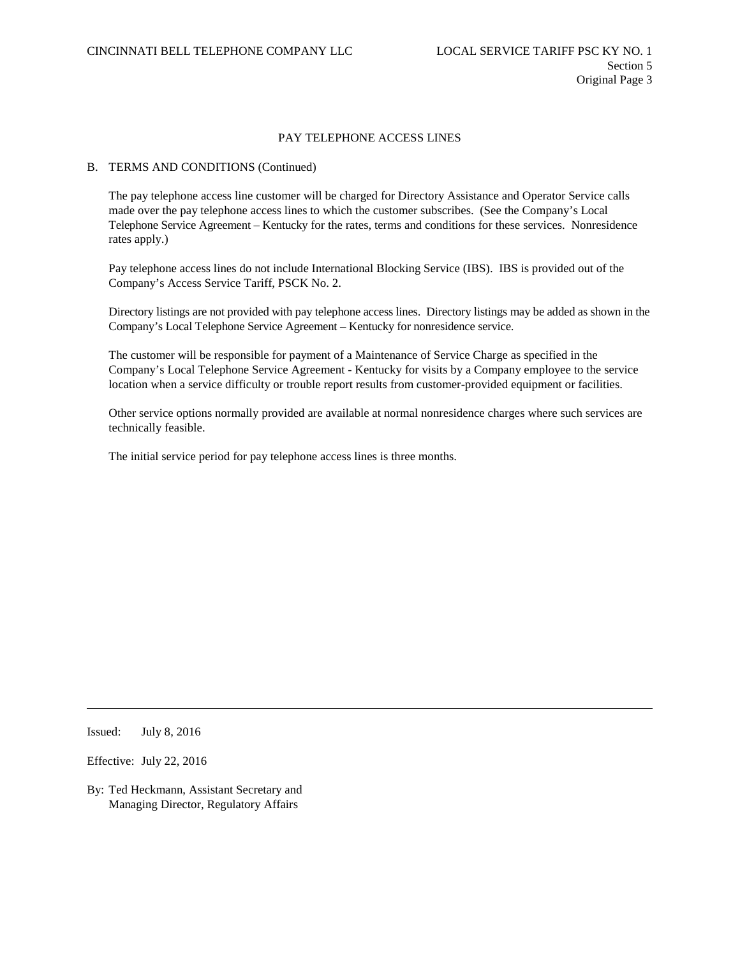### B. TERMS AND CONDITIONS (Continued)

The pay telephone access line customer will be charged for Directory Assistance and Operator Service calls made over the pay telephone access lines to which the customer subscribes. (See the Company's Local Telephone Service Agreement – Kentucky for the rates, terms and conditions for these services. Nonresidence rates apply.)

Pay telephone access lines do not include International Blocking Service (IBS). IBS is provided out of the Company's Access Service Tariff, PSCK No. 2.

Directory listings are not provided with pay telephone access lines. Directory listings may be added as shown in the Company's Local Telephone Service Agreement – Kentucky for nonresidence service.

The customer will be responsible for payment of a Maintenance of Service Charge as specified in the Company's Local Telephone Service Agreement - Kentucky for visits by a Company employee to the service location when a service difficulty or trouble report results from customer-provided equipment or facilities.

Other service options normally provided are available at normal nonresidence charges where such services are technically feasible.

The initial service period for pay telephone access lines is three months.

Issued: July 8, 2016

Effective: July 22, 2016